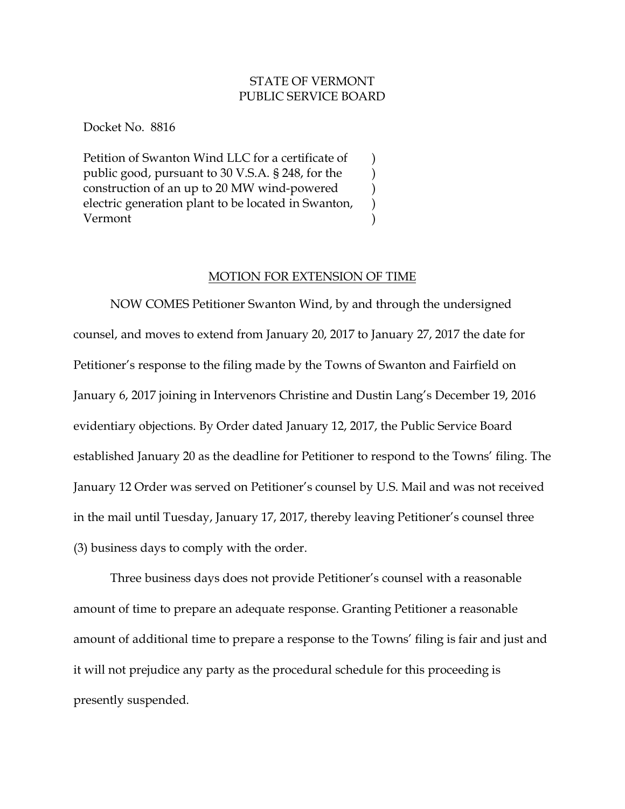## STATE OF VERMONT PUBLIC SERVICE BOARD

) ) ) ) )

Docket No. 8816

Petition of Swanton Wind LLC for a certificate of public good, pursuant to 30 V.S.A. § 248, for the construction of an up to 20 MW wind-powered electric generation plant to be located in Swanton, Vermont

## MOTION FOR EXTENSION OF TIME

NOW COMES Petitioner Swanton Wind, by and through the undersigned counsel, and moves to extend from January 20, 2017 to January 27, 2017 the date for Petitioner's response to the filing made by the Towns of Swanton and Fairfield on January 6, 2017 joining in Intervenors Christine and Dustin Lang's December 19, 2016 evidentiary objections. By Order dated January 12, 2017, the Public Service Board established January 20 as the deadline for Petitioner to respond to the Towns' filing. The January 12 Order was served on Petitioner's counsel by U.S. Mail and was not received in the mail until Tuesday, January 17, 2017, thereby leaving Petitioner's counsel three (3) business days to comply with the order.

Three business days does not provide Petitioner's counsel with a reasonable amount of time to prepare an adequate response. Granting Petitioner a reasonable amount of additional time to prepare a response to the Towns' filing is fair and just and it will not prejudice any party as the procedural schedule for this proceeding is presently suspended.